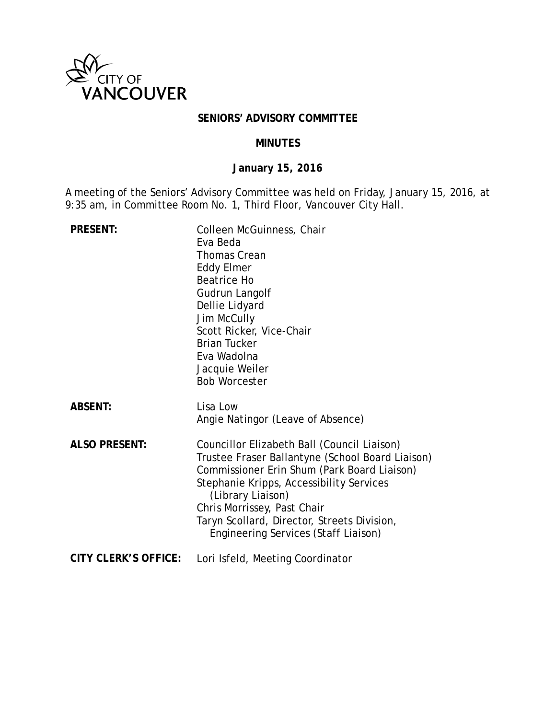

### **SENIORS' ADVISORY COMMITTEE**

#### **MINUTES**

# **January 15, 2016**

A meeting of the Seniors' Advisory Committee was held on Friday, January 15, 2016, at 9:35 am, in Committee Room No. 1, Third Floor, Vancouver City Hall.

| <b>PRESENT:</b>             | Colleen McGuinness, Chair<br>Eva Beda<br><b>Thomas Crean</b><br><b>Eddy Elmer</b><br><b>Beatrice Ho</b><br>Gudrun Langolf<br>Dellie Lidyard<br>Jim McCully<br>Scott Ricker, Vice-Chair<br><b>Brian Tucker</b><br>Eva Wadolna<br>Jacquie Weiler<br><b>Bob Worcester</b>                                                                |
|-----------------------------|---------------------------------------------------------------------------------------------------------------------------------------------------------------------------------------------------------------------------------------------------------------------------------------------------------------------------------------|
| <b>ABSENT:</b>              | Lisa Low<br>Angie Natingor (Leave of Absence)                                                                                                                                                                                                                                                                                         |
| <b>ALSO PRESENT:</b>        | Councillor Elizabeth Ball (Council Liaison)<br>Trustee Fraser Ballantyne (School Board Liaison)<br>Commissioner Erin Shum (Park Board Liaison)<br>Stephanie Kripps, Accessibility Services<br>(Library Liaison)<br>Chris Morrissey, Past Chair<br>Taryn Scollard, Director, Streets Division,<br>Engineering Services (Staff Liaison) |
| <b>CITY CLERK'S OFFICE:</b> | Lori Isfeld, Meeting Coordinator                                                                                                                                                                                                                                                                                                      |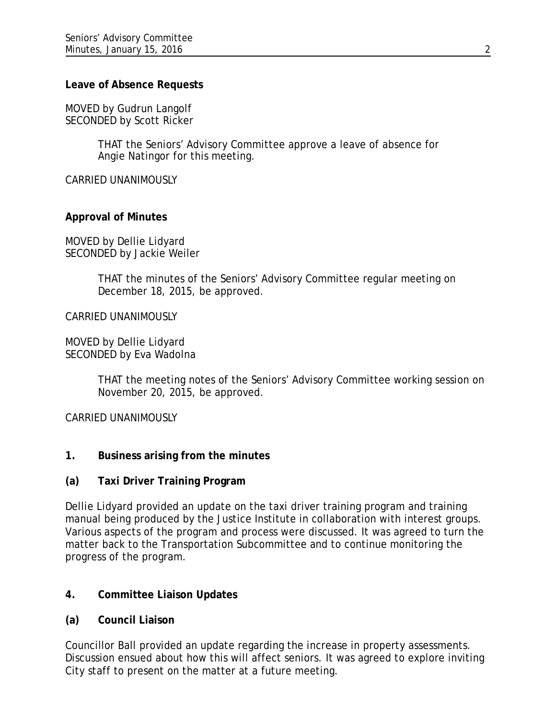#### **Leave of Absence Requests**

MOVED by Gudrun Langolf SECONDED by Scott Ricker

> THAT the Seniors' Advisory Committee approve a leave of absence for Angie Natingor for this meeting.

CARRIED UNANIMOUSLY

### **Approval of Minutes**

MOVED by Dellie Lidyard SECONDED by Jackie Weiler

> THAT the minutes of the Seniors' Advisory Committee regular meeting on December 18, 2015, be approved.

#### CARRIED UNANIMOUSLY

MOVED by Dellie Lidyard SECONDED by Eva Wadolna

> THAT the meeting notes of the Seniors' Advisory Committee working session on November 20, 2015, be approved.

CARRIED UNANIMOUSLY

- **1. Business arising from the minutes**
- **(a) Taxi Driver Training Program**

Dellie Lidyard provided an update on the taxi driver training program and training manual being produced by the Justice Institute in collaboration with interest groups. Various aspects of the program and process were discussed. It was agreed to turn the matter back to the Transportation Subcommittee and to continue monitoring the progress of the program.

### **4. Committee Liaison Updates**

**(a) Council Liaison**

Councillor Ball provided an update regarding the increase in property assessments. Discussion ensued about how this will affect seniors. It was agreed to explore inviting City staff to present on the matter at a future meeting.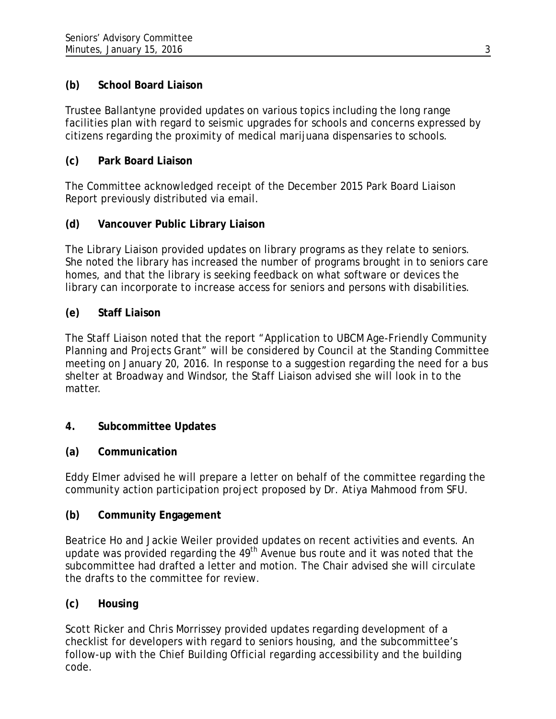# **(b) School Board Liaison**

Trustee Ballantyne provided updates on various topics including the long range facilities plan with regard to seismic upgrades for schools and concerns expressed by citizens regarding the proximity of medical marijuana dispensaries to schools.

# **(c) Park Board Liaison**

The Committee acknowledged receipt of the December 2015 Park Board Liaison Report previously distributed via email.

# **(d) Vancouver Public Library Liaison**

The Library Liaison provided updates on library programs as they relate to seniors. She noted the library has increased the number of programs brought in to seniors care homes, and that the library is seeking feedback on what software or devices the library can incorporate to increase access for seniors and persons with disabilities.

## **(e) Staff Liaison**

The Staff Liaison noted that the report "Application to UBCM Age-Friendly Community Planning and Projects Grant" will be considered by Council at the Standing Committee meeting on January 20, 2016. In response to a suggestion regarding the need for a bus shelter at Broadway and Windsor, the Staff Liaison advised she will look in to the matter.

## **4. Subcommittee Updates**

## **(a) Communication**

Eddy Elmer advised he will prepare a letter on behalf of the committee regarding the community action participation project proposed by Dr. Atiya Mahmood from SFU.

## **(b) Community Engagement**

Beatrice Ho and Jackie Weiler provided updates on recent activities and events. An update was provided regarding the 49<sup>th</sup> Avenue bus route and it was noted that the subcommittee had drafted a letter and motion. The Chair advised she will circulate the drafts to the committee for review.

# **(c) Housing**

Scott Ricker and Chris Morrissey provided updates regarding development of a checklist for developers with regard to seniors housing, and the subcommittee's follow-up with the Chief Building Official regarding accessibility and the building code.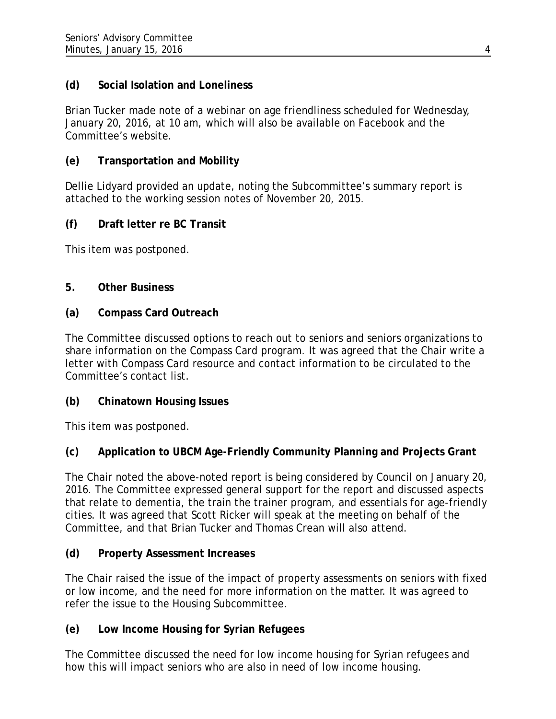## **(d) Social Isolation and Loneliness**

Brian Tucker made note of a webinar on age friendliness scheduled for Wednesday, January 20, 2016, at 10 am, which will also be available on Facebook and the Committee's website.

## **(e) Transportation and Mobility**

Dellie Lidyard provided an update, noting the Subcommittee's summary report is attached to the working session notes of November 20, 2015.

### **(f) Draft letter re BC Transit**

This item was postponed.

### **5. Other Business**

#### **(a) Compass Card Outreach**

The Committee discussed options to reach out to seniors and seniors organizations to share information on the Compass Card program. It was agreed that the Chair write a letter with Compass Card resource and contact information to be circulated to the Committee's contact list.

### **(b) Chinatown Housing Issues**

This item was postponed.

### **(c) Application to UBCM Age-Friendly Community Planning and Projects Grant**

The Chair noted the above-noted report is being considered by Council on January 20, 2016. The Committee expressed general support for the report and discussed aspects that relate to dementia, the train the trainer program, and essentials for age-friendly cities. It was agreed that Scott Ricker will speak at the meeting on behalf of the Committee, and that Brian Tucker and Thomas Crean will also attend.

### **(d) Property Assessment Increases**

The Chair raised the issue of the impact of property assessments on seniors with fixed or low income, and the need for more information on the matter. It was agreed to refer the issue to the Housing Subcommittee.

### **(e) Low Income Housing for Syrian Refugees**

The Committee discussed the need for low income housing for Syrian refugees and how this will impact seniors who are also in need of low income housing.